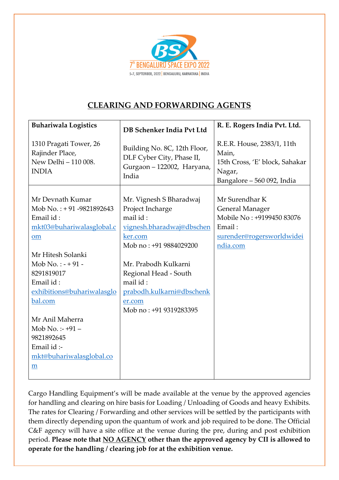

## CLEARING AND FORWARDING AGENTS

| <b>Buhariwala Logistics</b>                                                                  | DB Schenker India Pvt Ltd                                                                                                 | R. E. Rogers India Pvt. Ltd.                                                                                             |
|----------------------------------------------------------------------------------------------|---------------------------------------------------------------------------------------------------------------------------|--------------------------------------------------------------------------------------------------------------------------|
| 1310 Pragati Tower, 26<br>Rajinder Place,<br>New Delhi - 110 008.<br><b>INDIA</b>            | Building No. 8C, 12th Floor,<br>DLF Cyber City, Phase II,<br>Gurgaon - 122002, Haryana,<br>India                          | R.E.R. House, 2383/1, 11th<br>Main,<br>15th Cross, 'E' block, Sahakar<br>Nagar,<br>Bangalore - 560 092, India            |
| Mr Devnath Kumar<br>Mob No.: +91 -9821892643<br>Email id:<br>mkt03@buhariwalasglobal.c<br>om | Mr. Vignesh S Bharadwaj<br>Project Incharge<br>mail id:<br>vignesh.bharadwaj@dbschen<br>ker.com<br>Mob no: +91 9884029200 | Mr Surendhar K<br><b>General Manager</b><br>Mobile No: +9199450 83076<br>Email:<br>surender@rogersworldwidei<br>ndia.com |
| Mr Hitesh Solanki                                                                            |                                                                                                                           |                                                                                                                          |
| $Mob No. : - +91 -$<br>8291819017                                                            | Mr. Prabodh Kulkarni<br>Regional Head - South                                                                             |                                                                                                                          |
| Email id:<br>exhibitions@buhariwalasglo                                                      | mail id:<br>prabodh.kulkarni@dbschenk                                                                                     |                                                                                                                          |
| bal.com                                                                                      | er.com<br>Mob no: +91 9319283395                                                                                          |                                                                                                                          |
| Mr Anil Maherra                                                                              |                                                                                                                           |                                                                                                                          |
| Mob No.:- $+91-$                                                                             |                                                                                                                           |                                                                                                                          |
| 9821892645<br>Email id :-                                                                    |                                                                                                                           |                                                                                                                          |
| mkt@buhariwalasglobal.co                                                                     |                                                                                                                           |                                                                                                                          |
| m                                                                                            |                                                                                                                           |                                                                                                                          |
|                                                                                              |                                                                                                                           |                                                                                                                          |

Cargo Handling Equipment's will be made available at the venue by the approved agencies for handling and clearing on hire basis for Loading / Unloading of Goods and heavy Exhibits. The rates for Clearing / Forwarding and other services will be settled by the participants with them directly depending upon the quantum of work and job required to be done. The Official C&F agency will have a site office at the venue during the pre, during and post exhibition period. Please note that NO AGENCY other than the approved agency by CII is allowed to operate for the handling / clearing job for at the exhibition venue.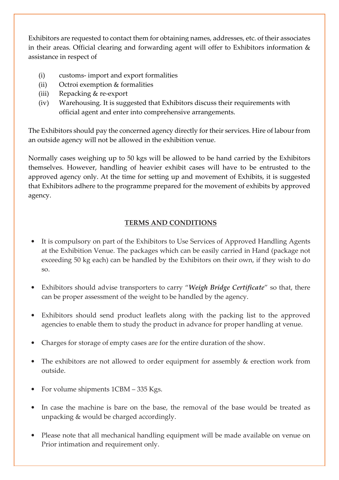Exhibitors are requested to contact them for obtaining names, addresses, etc. of their associates in their areas. Official clearing and forwarding agent will offer to Exhibitors information  $\&$ assistance in respect of

- (i) customs- import and export formalities
- (ii) Octroi exemption & formalities
- (iii) Repacking & re-export
- (iv) Warehousing. It is suggested that Exhibitors discuss their requirements with official agent and enter into comprehensive arrangements.

The Exhibitors should pay the concerned agency directly for their services. Hire of labour from an outside agency will not be allowed in the exhibition venue.

Normally cases weighing up to 50 kgs will be allowed to be hand carried by the Exhibitors themselves. However, handling of heavier exhibit cases will have to be entrusted to the approved agency only. At the time for setting up and movement of Exhibits, it is suggested that Exhibitors adhere to the programme prepared for the movement of exhibits by approved agency.

## TERMS AND CONDITIONS

- It is compulsory on part of the Exhibitors to Use Services of Approved Handling Agents at the Exhibition Venue. The packages which can be easily carried in Hand (package not exceeding 50 kg each) can be handled by the Exhibitors on their own, if they wish to do so.
- Exhibitors should advise transporters to carry "Weigh Bridge Certificate" so that, there can be proper assessment of the weight to be handled by the agency.
- Exhibitors should send product leaflets along with the packing list to the approved agencies to enable them to study the product in advance for proper handling at venue.
- Charges for storage of empty cases are for the entire duration of the show.
- The exhibitors are not allowed to order equipment for assembly & erection work from outside.
- For volume shipments 1CBM 335 Kgs.
- In case the machine is bare on the base, the removal of the base would be treated as unpacking & would be charged accordingly.
- Please note that all mechanical handling equipment will be made available on venue on Prior intimation and requirement only.